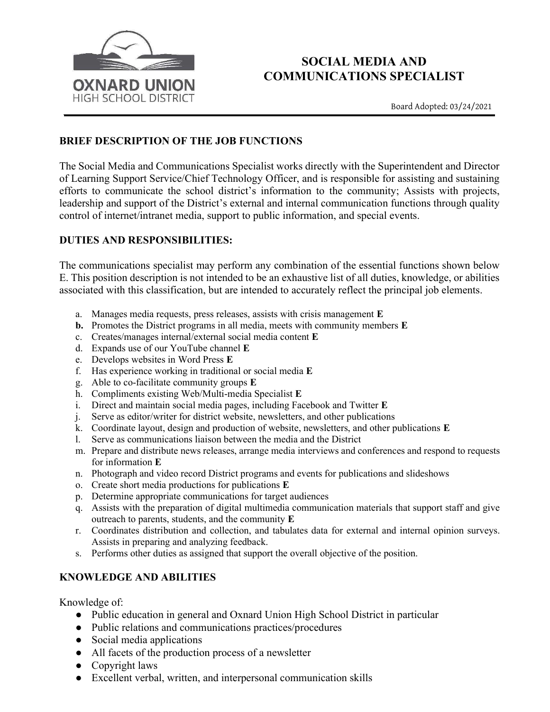

# SOCIAL MEDIA AND COMMUNICATIONS SPECIALIST

Board Adopted: 03/24/2021

## BRIEF DESCRIPTION OF THE JOB FUNCTIONS

The Social Media and Communications Specialist works directly with the Superintendent and Director of Learning Support Service/Chief Technology Officer, and is responsible for assisting and sustaining efforts to communicate the school district's information to the community; Assists with projects, leadership and support of the District's external and internal communication functions through quality control of internet/intranet media, support to public information, and special events.

# DUTIES AND RESPONSIBILITIES:

The communications specialist may perform any combination of the essential functions shown below E. This position description is not intended to be an exhaustive list of all duties, knowledge, or abilities associated with this classification, but are intended to accurately reflect the principal job elements.

- a. Manages media requests, press releases, assists with crisis management E
- b. Promotes the District programs in all media, meets with community members E
- c. Creates/manages internal/external social media content E
- d. Expands use of our YouTube channel E
- e. Develops websites in Word Press E
- f. Has experience working in traditional or social media E
- g. Able to co-facilitate community groups E
- h. Compliments existing Web/Multi-media Specialist E
- i. Direct and maintain social media pages, including Facebook and Twitter E
- j. Serve as editor/writer for district website, newsletters, and other publications
- k. Coordinate layout, design and production of website, newsletters, and other publications E
- l. Serve as communications liaison between the media and the District
- m. Prepare and distribute news releases, arrange media interviews and conferences and respond to requests for information E
- n. Photograph and video record District programs and events for publications and slideshows
- o. Create short media productions for publications E
- p. Determine appropriate communications for target audiences
- q. Assists with the preparation of digital multimedia communication materials that support staff and give outreach to parents, students, and the community E
- r. Coordinates distribution and collection, and tabulates data for external and internal opinion surveys. Assists in preparing and analyzing feedback.
- s. Performs other duties as assigned that support the overall objective of the position.

### KNOWLEDGE AND ABILITIES

Knowledge of:

- Public education in general and Oxnard Union High School District in particular
- Public relations and communications practices/procedures
- Social media applications
- All facets of the production process of a newsletter
- Copyright laws
- Excellent verbal, written, and interpersonal communication skills